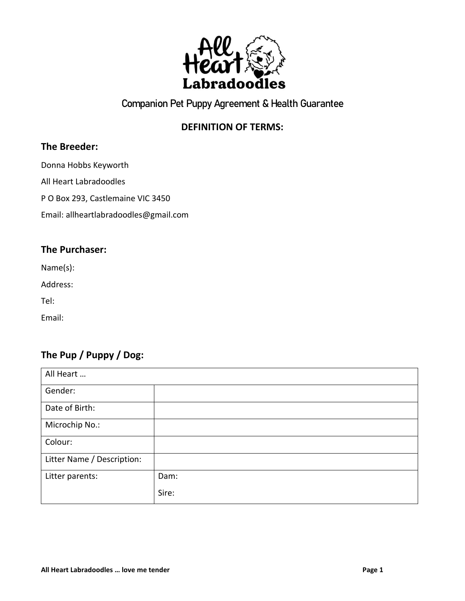

## **DEFINITION OF TERMS:**

#### **The Breeder:**

Donna Hobbs Keyworth

All Heart Labradoodles

P O Box 293, Castlemaine VIC 3450

Email: allheartlabradoodles@gmail.com

#### **The Purchaser:**

Name(s):

Address:

Tel:

Email:

#### **The Pup / Puppy / Dog:**

| All Heart                  |       |
|----------------------------|-------|
| Gender:                    |       |
| Date of Birth:             |       |
| Microchip No.:             |       |
| Colour:                    |       |
| Litter Name / Description: |       |
| Litter parents:            | Dam:  |
|                            | Sire: |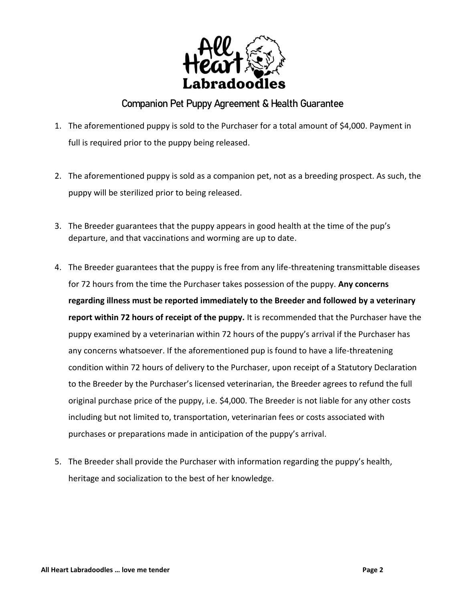

- 1. The aforementioned puppy is sold to the Purchaser for a total amount of \$4,000. Payment in full is required prior to the puppy being released.
- 2. The aforementioned puppy is sold as a companion pet, not as a breeding prospect. As such, the puppy will be sterilized prior to being released.
- 3. The Breeder guarantees that the puppy appears in good health at the time of the pup's departure, and that vaccinations and worming are up to date.
- 4. The Breeder guarantees that the puppy is free from any life-threatening transmittable diseases for 72 hours from the time the Purchaser takes possession of the puppy. **Any concerns regarding illness must be reported immediately to the Breeder and followed by a veterinary report within 72 hours of receipt of the puppy.** It is recommended that the Purchaser have the puppy examined by a veterinarian within 72 hours of the puppy's arrival if the Purchaser has any concerns whatsoever. If the aforementioned pup is found to have a life-threatening condition within 72 hours of delivery to the Purchaser, upon receipt of a Statutory Declaration to the Breeder by the Purchaser's licensed veterinarian, the Breeder agrees to refund the full original purchase price of the puppy, i.e. \$4,000. The Breeder is not liable for any other costs including but not limited to, transportation, veterinarian fees or costs associated with purchases or preparations made in anticipation of the puppy's arrival.
- 5. The Breeder shall provide the Purchaser with information regarding the puppy's health, heritage and socialization to the best of her knowledge.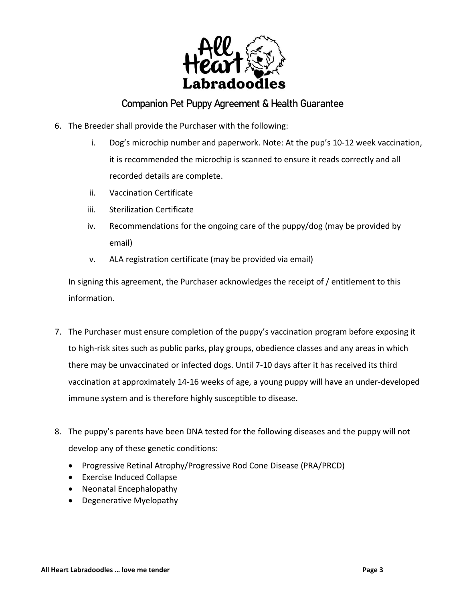

- 6. The Breeder shall provide the Purchaser with the following:
	- i. Dog's microchip number and paperwork. Note: At the pup's 10-12 week vaccination, it is recommended the microchip is scanned to ensure it reads correctly and all recorded details are complete.
	- ii. Vaccination Certificate
	- iii. Sterilization Certificate
	- iv. Recommendations for the ongoing care of the puppy/dog (may be provided by email)
	- v. ALA registration certificate (may be provided via email)

In signing this agreement, the Purchaser acknowledges the receipt of / entitlement to this information.

- 7. The Purchaser must ensure completion of the puppy's vaccination program before exposing it to high-risk sites such as public parks, play groups, obedience classes and any areas in which there may be unvaccinated or infected dogs. Until 7-10 days after it has received its third vaccination at approximately 14-16 weeks of age, a young puppy will have an under-developed immune system and is therefore highly susceptible to disease.
- 8. The puppy's parents have been DNA tested for the following diseases and the puppy will not develop any of these genetic conditions:
	- Progressive Retinal Atrophy/Progressive Rod Cone Disease (PRA/PRCD)
	- Exercise Induced Collapse
	- Neonatal Encephalopathy
	- Degenerative Myelopathy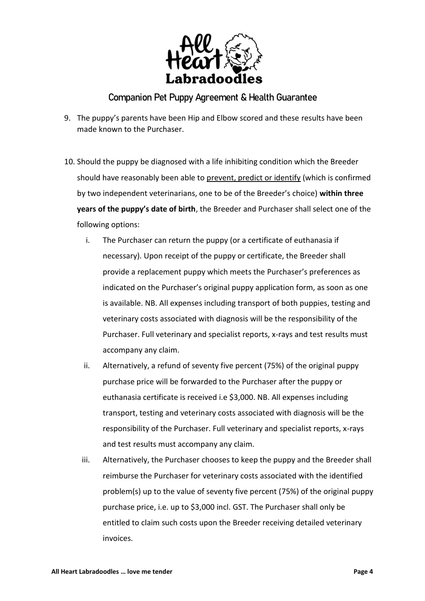

- 9. The puppy's parents have been Hip and Elbow scored and these results have been made known to the Purchaser.
- 10. Should the puppy be diagnosed with a life inhibiting condition which the Breeder should have reasonably been able to prevent, predict or identify (which is confirmed by two independent veterinarians, one to be of the Breeder's choice) **within three years of the puppy's date of birth**, the Breeder and Purchaser shall select one of the following options:
	- i. The Purchaser can return the puppy (or a certificate of euthanasia if necessary). Upon receipt of the puppy or certificate, the Breeder shall provide a replacement puppy which meets the Purchaser's preferences as indicated on the Purchaser's original puppy application form, as soon as one is available. NB. All expenses including transport of both puppies, testing and veterinary costs associated with diagnosis will be the responsibility of the Purchaser. Full veterinary and specialist reports, x-rays and test results must accompany any claim.
	- ii. Alternatively, a refund of seventy five percent (75%) of the original puppy purchase price will be forwarded to the Purchaser after the puppy or euthanasia certificate is received i.e \$3,000. NB. All expenses including transport, testing and veterinary costs associated with diagnosis will be the responsibility of the Purchaser. Full veterinary and specialist reports, x-rays and test results must accompany any claim.
	- iii. Alternatively, the Purchaser chooses to keep the puppy and the Breeder shall reimburse the Purchaser for veterinary costs associated with the identified problem(s) up to the value of seventy five percent (75%) of the original puppy purchase price, i.e. up to \$3,000 incl. GST. The Purchaser shall only be entitled to claim such costs upon the Breeder receiving detailed veterinary invoices.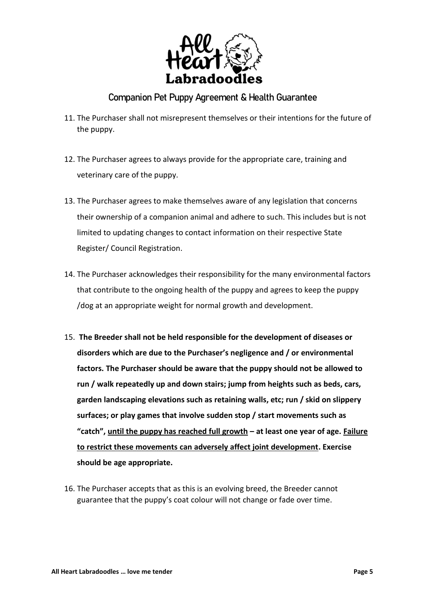

- 11. The Purchaser shall not misrepresent themselves or their intentions for the future of the puppy.
- 12. The Purchaser agrees to always provide for the appropriate care, training and veterinary care of the puppy.
- 13. The Purchaser agrees to make themselves aware of any legislation that concerns their ownership of a companion animal and adhere to such. This includes but is not limited to updating changes to contact information on their respective State Register/ Council Registration.
- 14. The Purchaser acknowledges their responsibility for the many environmental factors that contribute to the ongoing health of the puppy and agrees to keep the puppy /dog at an appropriate weight for normal growth and development.
- 15. **The Breeder shall not be held responsible for the development of diseases or disorders which are due to the Purchaser's negligence and / or environmental factors. The Purchaser should be aware that the puppy should not be allowed to run / walk repeatedly up and down stairs; jump from heights such as beds, cars, garden landscaping elevations such as retaining walls, etc; run / skid on slippery surfaces; or play games that involve sudden stop / start movements such as "catch", until the puppy has reached full growth – at least one year of age. Failure to restrict these movements can adversely affect joint development. Exercise should be age appropriate.**
- 16. The Purchaser accepts that as this is an evolving breed, the Breeder cannot guarantee that the puppy's coat colour will not change or fade over time.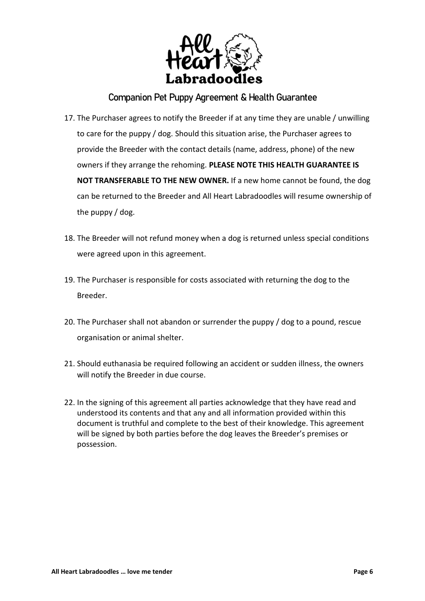

- 17. The Purchaser agrees to notify the Breeder if at any time they are unable / unwilling to care for the puppy / dog. Should this situation arise, the Purchaser agrees to provide the Breeder with the contact details (name, address, phone) of the new owners if they arrange the rehoming. **PLEASE NOTE THIS HEALTH GUARANTEE IS NOT TRANSFERABLE TO THE NEW OWNER.** If a new home cannot be found, the dog can be returned to the Breeder and All Heart Labradoodles will resume ownership of the puppy / dog.
- 18. The Breeder will not refund money when a dog is returned unless special conditions were agreed upon in this agreement.
- 19. The Purchaser is responsible for costs associated with returning the dog to the Breeder.
- 20. The Purchaser shall not abandon or surrender the puppy / dog to a pound, rescue organisation or animal shelter.
- 21. Should euthanasia be required following an accident or sudden illness, the owners will notify the Breeder in due course.
- 22. In the signing of this agreement all parties acknowledge that they have read and understood its contents and that any and all information provided within this document is truthful and complete to the best of their knowledge. This agreement will be signed by both parties before the dog leaves the Breeder's premises or possession.